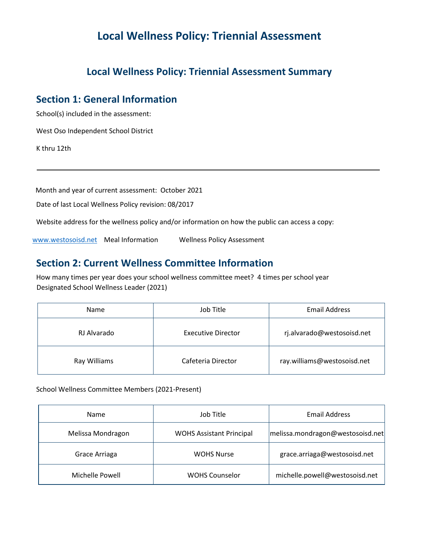# **Local Wellness Policy: Triennial Assessment**

### **Local Wellness Policy: Triennial Assessment Summary**

### **Section 1: General Information**

School(s) included in the assessment:

West Oso Independent School District

K thru 12th

Month and year of current assessment: October 2021

Date of last Local Wellness Policy revision: 08/2017

Website address for the wellness policy and/or information on how the public can access a copy:

[www.westosoisd.net](http://www.westosoisd.net/) Meal Information Wellness Policy Assessment

#### **Section 2: Current Wellness Committee Information**

 How many times per year does your school wellness committee meet? 4 times per school year Designated School Wellness Leader (2021)

| <b>Name</b>  | Job Title                 | <b>Email Address</b>        |  |
|--------------|---------------------------|-----------------------------|--|
| RJ Alvarado  | <b>Executive Director</b> | rj.alvarado@westosoisd.net  |  |
| Ray Williams | Cafeteria Director        | ray.williams@westosoisd.net |  |

School Wellness Committee Members (2021-Present)

| Name              | Job Title                       | <b>Email Address</b>             |
|-------------------|---------------------------------|----------------------------------|
| Melissa Mondragon | <b>WOHS Assistant Principal</b> | melissa.mondragon@westosoisd.net |
| Grace Arriaga     | <b>WOHS Nurse</b>               | grace.arriaga@westosoisd.net     |
| Michelle Powell   | <b>WOHS Counselor</b>           | michelle.powell@westosoisd.net   |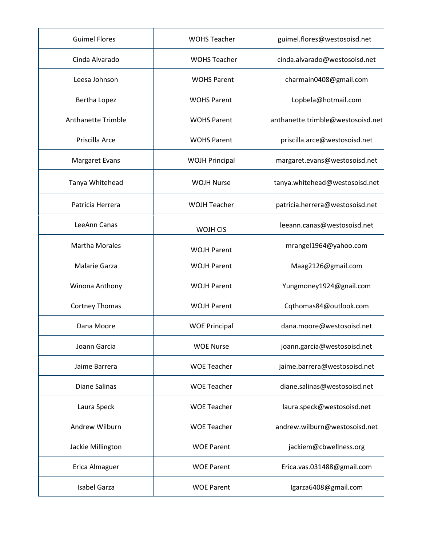| <b>Guimel Flores</b>      | <b>WOHS Teacher</b>   | guimel.flores@westosoisd.net      |
|---------------------------|-----------------------|-----------------------------------|
| Cinda Alvarado            | <b>WOHS Teacher</b>   | cinda.alvarado@westosoisd.net     |
| Leesa Johnson             | <b>WOHS Parent</b>    | charmain0408@gmail.com            |
| Bertha Lopez              | <b>WOHS Parent</b>    | Lopbela@hotmail.com               |
| <b>Anthanette Trimble</b> | <b>WOHS Parent</b>    | anthanette.trimble@westosoisd.net |
| Priscilla Arce            | <b>WOHS Parent</b>    | priscilla.arce@westosoisd.net     |
| <b>Margaret Evans</b>     | <b>WOJH Principal</b> | margaret.evans@westosoisd.net     |
| Tanya Whitehead           | <b>WOJH Nurse</b>     | tanya.whitehead@westosoisd.net    |
| Patricia Herrera          | <b>WOJH Teacher</b>   | patricia.herrera@westosoisd.net   |
| LeeAnn Canas              | WOJH CIS              | leeann.canas@westosoisd.net       |
| <b>Martha Morales</b>     | <b>WOJH Parent</b>    | mrangel1964@yahoo.com             |
| <b>Malarie Garza</b>      | <b>WOJH Parent</b>    | Maag2126@gmail.com                |
| Winona Anthony            | <b>WOJH Parent</b>    | Yungmoney1924@gnail.com           |
| <b>Cortney Thomas</b>     | <b>WOJH Parent</b>    | Cqthomas84@outlook.com            |
| Dana Moore                | <b>WOE Principal</b>  | dana.moore@westosoisd.net         |
| Joann Garcia              | <b>WOE Nurse</b>      | joann.garcia@westosoisd.net       |
| Jaime Barrera             | <b>WOE Teacher</b>    | jaime.barrera@westosoisd.net      |
| Diane Salinas             | <b>WOE Teacher</b>    | diane.salinas@westosoisd.net      |
| Laura Speck               | <b>WOE Teacher</b>    | laura.speck@westosoisd.net        |
| Andrew Wilburn            | <b>WOE Teacher</b>    | andrew.wilburn@westosoisd.net     |
| Jackie Millington         | <b>WOE Parent</b>     | jackiem@cbwellness.org            |
| Erica Almaguer            | <b>WOE Parent</b>     | Erica.vas.031488@gmail.com        |
| Isabel Garza              | <b>WOE Parent</b>     | lgarza6408@gmail.com              |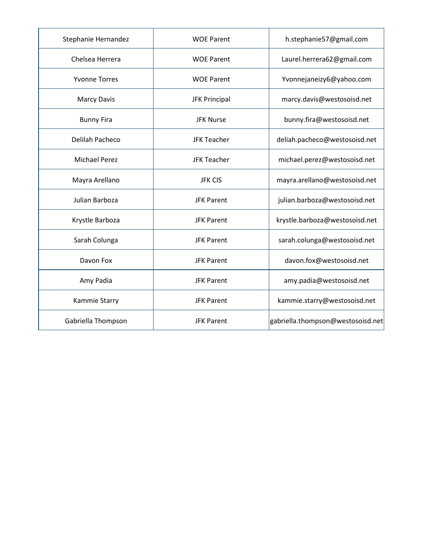| Stephanie Hernandez  | <b>WOE Parent</b>    | h.stephanie57@gmail.com           |
|----------------------|----------------------|-----------------------------------|
| Chelsea Herrera      | <b>WOE Parent</b>    | Laurel.herrera62@gmail.com        |
| <b>Yvonne Torres</b> | <b>WOE Parent</b>    | Yvonnejaneizy6@yahoo.com          |
| <b>Marcy Davis</b>   | <b>JFK Principal</b> | marcy.davis@westosoisd.net        |
| <b>Bunny Fira</b>    | <b>JFK Nurse</b>     | bunny.fira@westosoisd.net         |
| Delilah Pacheco      | <b>JFK Teacher</b>   | deliah.pacheco@westosoisd.net     |
| <b>Michael Perez</b> | <b>JFK Teacher</b>   | michael.perez@westosoisd.net      |
| Mayra Arellano       | <b>JFK CIS</b>       | mayra.arellano@westosoisd.net     |
| Julian Barboza       | <b>JFK Parent</b>    | julian.barboza@westosoisd.net     |
| Krystle Barboza      | <b>JFK Parent</b>    | krystle.barboza@westosoisd.net    |
| Sarah Colunga        | <b>JFK Parent</b>    | sarah.colunga@westosoisd.net      |
| Davon Fox            | <b>JFK Parent</b>    | davon.fox@westosoisd.net          |
| Amy Padia            | <b>JFK Parent</b>    | amy.padia@westosoisd.net          |
| Kammie Starry        | <b>JFK Parent</b>    | kammie.starry@westosoisd.net      |
| Gabriella Thompson   | <b>JFK Parent</b>    | gabriella.thompson@westosoisd.net |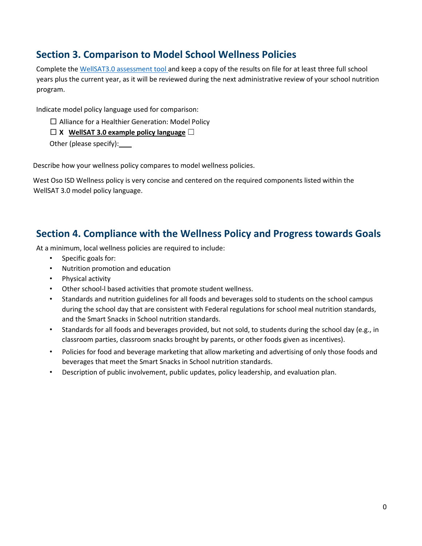## **Section 3. Comparison to Model School Wellness Policies**

Complete the [WellSAT3.0 assessment tool](http://www.wellsat.org/) and keep a copy of the results on file for at least three full school years plus the current year, as it will be reviewed during the next administrative review of your school nutrition program.

Indicate model policy language used for comparison:

□ Alliance for a Healthier Generation: Model Policy

□ **X WellSAT 3.0 example policy language** ☐

Other (please specify):

Other (please specify): \_\_\_\_<br>Describe how your wellness policy compares to model wellness policies.

 West Oso ISD Wellness policy is very concise and centered on the required components listed within the WellSAT 3.0 model policy language.

## **Section 4. Compliance with the Wellness Policy and Progress towards Goals**

At a minimum, local wellness policies are required to include:

- Specific goals for:
- Nutrition promotion and education
- Physical activity
- Other school-l based activities that promote student wellness.
- • Standards and nutrition guidelines for all foods and beverages sold to students on the school campus during the school day that are consistent with Federal regulations for school meal nutrition standards, and the Smart Snacks in School nutrition standards.
- • Standards for all foods and beverages provided, but not sold, to students during the school day (e.g., in classroom parties, classroom snacks brought by parents, or other foods given as incentives).
- • Policies for food and beverage marketing that allow marketing and advertising of only those foods and beverages that meet the Smart Snacks in School nutrition standards.
- Description of public involvement, public updates, policy leadership, and evaluation plan.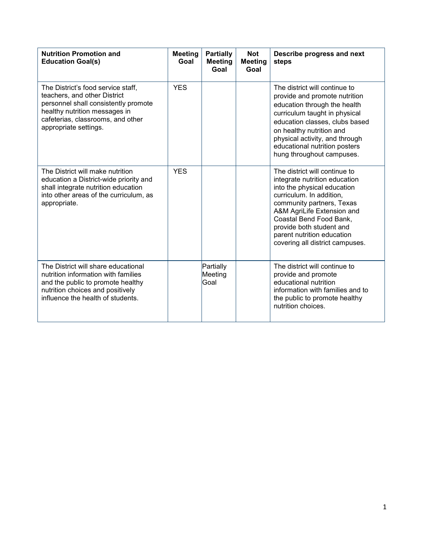| <b>Nutrition Promotion and</b><br><b>Education Goal(s)</b>                                                                                                                                                | <b>Meeting</b><br>Goal | <b>Partially</b><br><b>Meeting</b><br>Goal | <b>Not</b><br><b>Meeting</b><br>Goal | Describe progress and next<br>steps                                                                                                                                                                                                                                                                          |
|-----------------------------------------------------------------------------------------------------------------------------------------------------------------------------------------------------------|------------------------|--------------------------------------------|--------------------------------------|--------------------------------------------------------------------------------------------------------------------------------------------------------------------------------------------------------------------------------------------------------------------------------------------------------------|
| The District's food service staff,<br>teachers, and other District<br>personnel shall consistently promote<br>healthy nutrition messages in<br>cafeterias, classrooms, and other<br>appropriate settings. | <b>YES</b>             |                                            |                                      | The district will continue to<br>provide and promote nutrition<br>education through the health<br>curriculum taught in physical<br>education classes, clubs based<br>on healthy nutrition and<br>physical activity, and through<br>educational nutrition posters<br>hung throughout campuses.                |
| The District will make nutrition<br>education a District-wide priority and<br>shall integrate nutrition education<br>into other areas of the curriculum, as<br>appropriate.                               | <b>YES</b>             |                                            |                                      | The district will continue to<br>integrate nutrition education<br>into the physical education<br>curriculum. In addition,<br>community partners, Texas<br>A&M AgriLife Extension and<br>Coastal Bend Food Bank,<br>provide both student and<br>parent nutrition education<br>covering all district campuses. |
| The District will share educational<br>nutrition information with families<br>and the public to promote healthy<br>nutrition choices and positively<br>influence the health of students.                  |                        | Partially<br>Meeting<br>Goal               |                                      | The district will continue to<br>provide and promote<br>educational nutrition<br>information with families and to<br>the public to promote healthy<br>nutrition choices.                                                                                                                                     |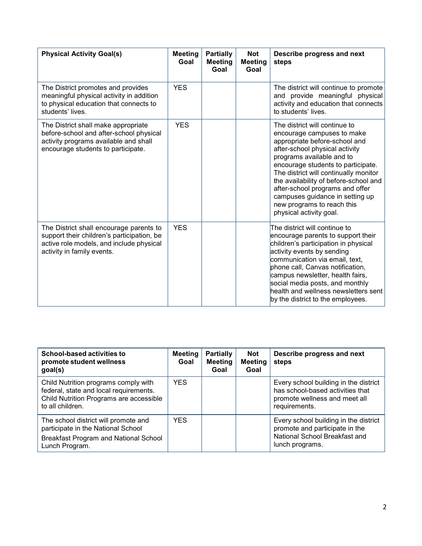| <b>Physical Activity Goal(s)</b>                                                                                                                                | <b>Meeting</b><br>Goal | <b>Partially</b><br><b>Meeting</b><br>Goal | <b>Not</b><br><b>Meeting</b><br>Goal | Describe progress and next<br>steps                                                                                                                                                                                                                                                                                                                                                                                |
|-----------------------------------------------------------------------------------------------------------------------------------------------------------------|------------------------|--------------------------------------------|--------------------------------------|--------------------------------------------------------------------------------------------------------------------------------------------------------------------------------------------------------------------------------------------------------------------------------------------------------------------------------------------------------------------------------------------------------------------|
| The District promotes and provides<br>meaningful physical activity in addition<br>to physical education that connects to<br>students' lives.                    | <b>YES</b>             |                                            |                                      | The district will continue to promote<br>and provide meaningful physical<br>activity and education that connects<br>to students' lives.                                                                                                                                                                                                                                                                            |
| The District shall make appropriate<br>before-school and after-school physical<br>activity programs available and shall<br>encourage students to participate.   | <b>YES</b>             |                                            |                                      | The district will continue to<br>encourage campuses to make<br>appropriate before-school and<br>after-school physical activity<br>programs available and to<br>encourage students to participate.<br>The district will continually monitor<br>the availability of before-school and<br>after-school programs and offer<br>campuses guidance in setting up<br>new programs to reach this<br>physical activity goal. |
| The District shall encourage parents to<br>support their children's participation, be<br>active role models, and include physical<br>activity in family events. | <b>YES</b>             |                                            |                                      | The district will continue to<br>encourage parents to support their<br>children's participation in physical<br>activity events by sending<br>communication via email, text,<br>phone call, Canvas notification,<br>campus newsletter, health fairs,<br>social media posts, and monthly<br>health and wellness newsletters sent<br>by the district to the employees.                                                |

| School-based activities to<br>promote student wellness<br>goal(s)                                                                             | <b>Meeting</b><br>Goal | <b>Partially</b><br><b>Meeting</b><br>Goal | <b>Not</b><br><b>Meeting</b><br>Goal | Describe progress and next<br>steps                                                                                         |
|-----------------------------------------------------------------------------------------------------------------------------------------------|------------------------|--------------------------------------------|--------------------------------------|-----------------------------------------------------------------------------------------------------------------------------|
| Child Nutrition programs comply with<br>federal, state and local requirements.<br>Child Nutrition Programs are accessible<br>to all children. | <b>YES</b>             |                                            |                                      | Every school building in the district<br>has school-based activities that<br>promote wellness and meet all<br>requirements. |
| The school district will promote and<br>participate in the National School<br>Breakfast Program and National School<br>Lunch Program.         | <b>YES</b>             |                                            |                                      | Every school building in the district<br>promote and participate in the<br>National School Breakfast and<br>lunch programs. |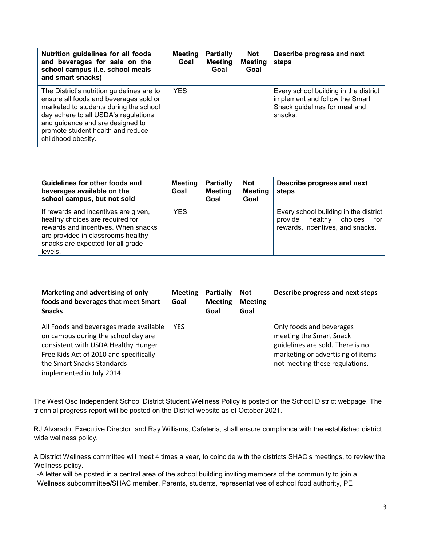| Nutrition guidelines for all foods<br>and beverages for sale on the<br>school campus (i.e. school meals<br>and smart snacks)                                                                                                                                          | Meeting<br>Goal | <b>Partially</b><br><b>Meeting</b><br>Goal | <b>Not</b><br><b>Meeting</b><br>Goal | Describe progress and next<br>steps                                                                                 |
|-----------------------------------------------------------------------------------------------------------------------------------------------------------------------------------------------------------------------------------------------------------------------|-----------------|--------------------------------------------|--------------------------------------|---------------------------------------------------------------------------------------------------------------------|
| The District's nutrition guidelines are to<br>ensure all foods and beverages sold or<br>marketed to students during the school<br>day adhere to all USDA's regulations<br>and guidance and are designed to<br>promote student health and reduce<br>childhood obesity. | YES.            |                                            |                                      | Every school building in the district<br>implement and follow the Smart<br>Snack guidelines for meal and<br>snacks. |

| Guidelines for other foods and<br>beverages available on the<br>school campus, but not sold                                                                                                           | <b>Meeting</b><br>Goal | <b>Partially</b><br><b>Meeting</b><br>Goal | <b>Not</b><br><b>Meeting</b><br>Goal | Describe progress and next<br>steps                                                                                 |
|-------------------------------------------------------------------------------------------------------------------------------------------------------------------------------------------------------|------------------------|--------------------------------------------|--------------------------------------|---------------------------------------------------------------------------------------------------------------------|
| If rewards and incentives are given,<br>healthy choices are required for<br>rewards and incentives. When snacks<br>are provided in classrooms healthy<br>snacks are expected for all grade<br>levels. | <b>YES</b>             |                                            |                                      | Every school building in the district<br>healthy<br>choices<br>for l<br>provide<br>rewards, incentives, and snacks. |

| Marketing and advertising of only<br>foods and beverages that meet Smart<br><b>Snacks</b>                                                                                                                                 | <b>Meeting</b><br>Goal | <b>Partially</b><br><b>Meeting</b><br>Goal | <b>Not</b><br><b>Meeting</b><br>Goal | Describe progress and next steps                                                                                                                               |
|---------------------------------------------------------------------------------------------------------------------------------------------------------------------------------------------------------------------------|------------------------|--------------------------------------------|--------------------------------------|----------------------------------------------------------------------------------------------------------------------------------------------------------------|
| All Foods and beverages made available<br>on campus during the school day are<br>consistent with USDA Healthy Hunger<br>Free Kids Act of 2010 and specifically<br>the Smart Snacks Standards<br>implemented in July 2014. | <b>YES</b>             |                                            |                                      | Only foods and beverages<br>meeting the Smart Snack<br>guidelines are sold. There is no<br>marketing or advertising of items<br>not meeting these regulations. |

The West Oso Independent School District Student Wellness Policy is posted on the School District webpage. The triennial progress report will be posted on the District website as of October 2021.

 RJ Alvarado, Executive Director, and Ray Williams, Cafeteria, shall ensure compliance with the established district wide wellness policy.

wide wellness policy.<br>A District Wellness committee will meet 4 times a year, to coincide with the districts SHAC's meetings, to review the Wellness policy.

-A letter will be posted in a central area of the school building inviting members of the community to join a Wellness subcommittee/SHAC member. Parents, students, representatives of school food authority, PE